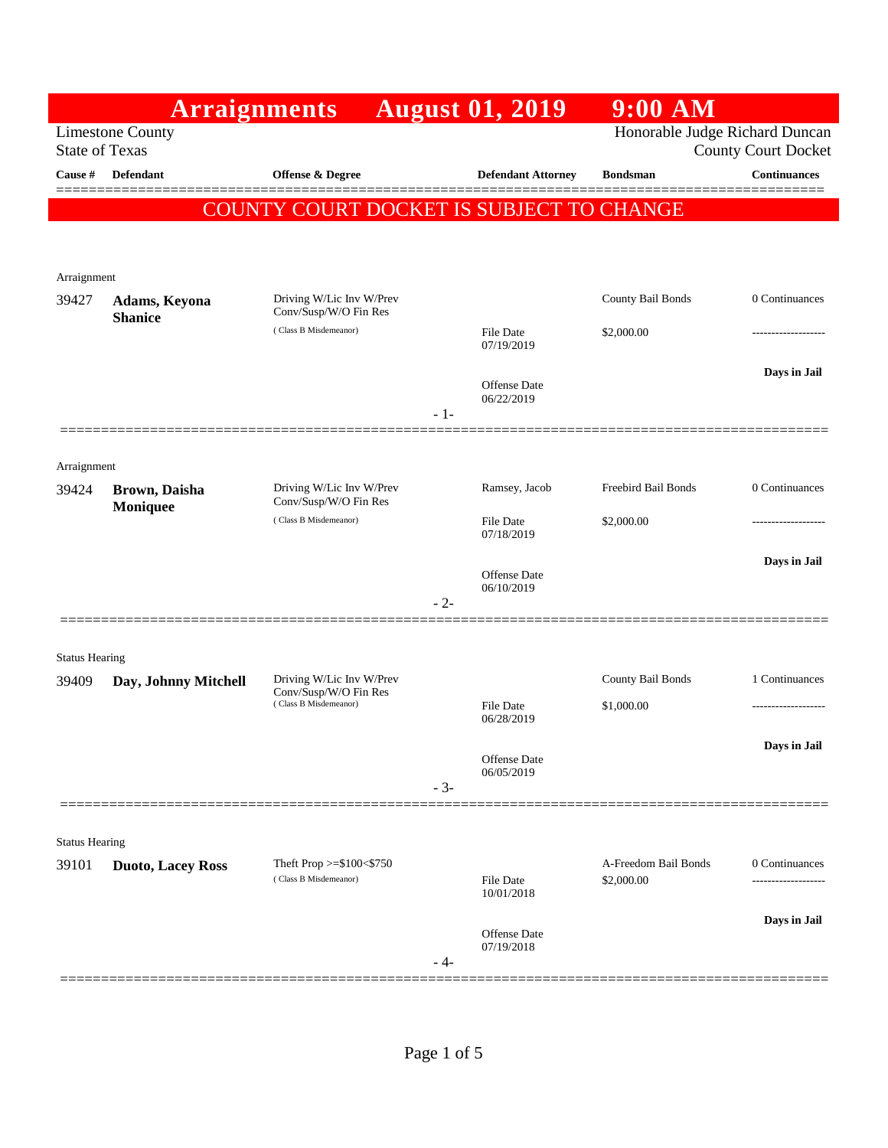|                                |                                 | <b>Arraignments</b>                                                        | <b>August 01, 2019</b>            | 9:00 AM                            |                                     |
|--------------------------------|---------------------------------|----------------------------------------------------------------------------|-----------------------------------|------------------------------------|-------------------------------------|
| <b>State of Texas</b>          | <b>Limestone County</b>         |                                                                            |                                   | Honorable Judge Richard Duncan     | <b>County Court Docket</b>          |
| Cause #                        | <b>Defendant</b>                | <b>Offense &amp; Degree</b>                                                | <b>Defendant Attorney</b>         | <b>Bondsman</b>                    | <b>Continuances</b>                 |
|                                |                                 | COUNTY COURT DOCKET IS SUBJECT TO CHANGE                                   |                                   |                                    |                                     |
|                                |                                 |                                                                            |                                   |                                    |                                     |
| Arraignment                    |                                 |                                                                            |                                   |                                    |                                     |
| 39427                          | Adams, Keyona<br><b>Shanice</b> | Driving W/Lic Inv W/Prev<br>Conv/Susp/W/O Fin Res                          |                                   | County Bail Bonds                  | 0 Continuances                      |
|                                |                                 | (Class B Misdemeanor)                                                      | <b>File Date</b><br>07/19/2019    | \$2,000.00                         |                                     |
|                                |                                 |                                                                            | <b>Offense Date</b><br>06/22/2019 |                                    | Days in Jail                        |
|                                |                                 |                                                                            | - 1-                              |                                    |                                     |
| Arraignment                    |                                 |                                                                            |                                   |                                    |                                     |
| 39424                          | Brown, Daisha<br>Moniquee       | Driving W/Lic Inv W/Prev<br>Conv/Susp/W/O Fin Res<br>(Class B Misdemeanor) | Ramsey, Jacob                     | Freebird Bail Bonds                | 0 Continuances                      |
|                                |                                 |                                                                            | File Date<br>07/18/2019           | \$2,000.00                         |                                     |
|                                |                                 |                                                                            | <b>Offense Date</b>               |                                    | Days in Jail                        |
|                                |                                 |                                                                            | 06/10/2019<br>$-2-$               |                                    |                                     |
|                                |                                 |                                                                            |                                   |                                    |                                     |
| <b>Status Hearing</b><br>39409 | Day, Johnny Mitchell            | Driving W/Lic Inv W/Prev<br>Conv/Susp/W/O Fin Res<br>(Class B Misdemeanor) |                                   | County Bail Bonds                  | 1 Continuances                      |
|                                |                                 |                                                                            | <b>File Date</b><br>06/28/2019    | \$1,000.00                         |                                     |
|                                |                                 |                                                                            | Offense Date                      |                                    | Days in Jail                        |
|                                |                                 |                                                                            | 06/05/2019<br>$-3-$               |                                    |                                     |
|                                |                                 |                                                                            |                                   |                                    |                                     |
| <b>Status Hearing</b>          |                                 |                                                                            |                                   |                                    |                                     |
| 39101                          | <b>Duoto, Lacey Ross</b>        | Theft Prop >=\$100<\$750<br>(Class B Misdemeanor)                          | <b>File Date</b><br>10/01/2018    | A-Freedom Bail Bonds<br>\$2,000.00 | 0 Continuances<br>----------------- |
|                                |                                 |                                                                            | Offense Date                      |                                    | Days in Jail                        |
|                                |                                 |                                                                            | 07/19/2018<br>- 4-                |                                    |                                     |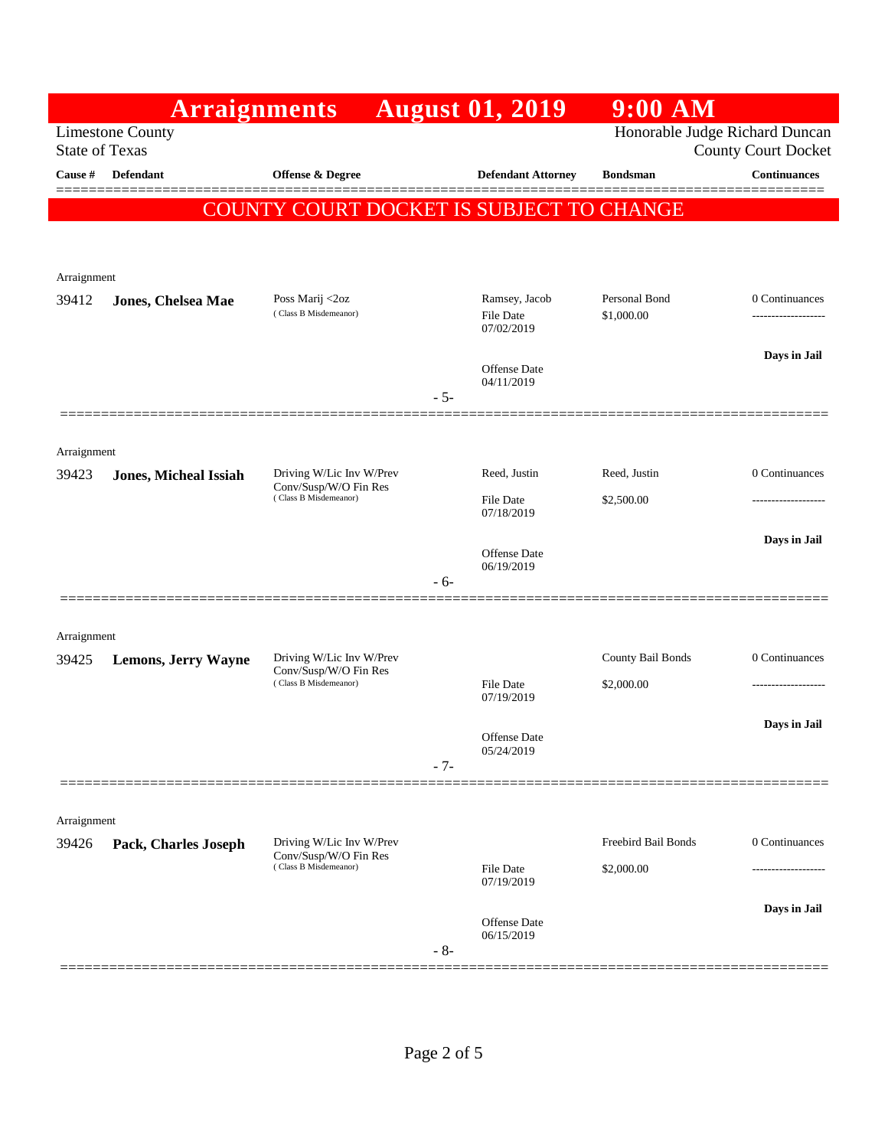|                       | <b>Arraignments</b>          |                                                   | <b>August 01, 2019</b>              | $9:00$ AM                      |                            |
|-----------------------|------------------------------|---------------------------------------------------|-------------------------------------|--------------------------------|----------------------------|
| <b>State of Texas</b> | <b>Limestone County</b>      |                                                   |                                     | Honorable Judge Richard Duncan | <b>County Court Docket</b> |
| <b>Cause</b> #        | Defendant                    | <b>Offense &amp; Degree</b>                       | <b>Defendant Attorney</b>           | <b>Bondsman</b>                | <b>Continuances</b>        |
|                       |                              | COUNTY COURT DOCKET IS SUBJECT TO CHANGE          |                                     |                                |                            |
|                       |                              |                                                   |                                     |                                |                            |
| Arraignment           |                              |                                                   |                                     |                                |                            |
| 39412                 | Jones, Chelsea Mae           | Poss Marij <2oz                                   | Ramsey, Jacob                       | Personal Bond                  | 0 Continuances             |
|                       |                              | (Class B Misdemeanor)                             | File Date<br>07/02/2019             | \$1,000.00                     |                            |
|                       |                              |                                                   | Offense Date                        |                                | Days in Jail               |
|                       |                              |                                                   | 04/11/2019<br>$-5-$                 |                                |                            |
|                       |                              |                                                   |                                     |                                |                            |
| Arraignment           |                              | Driving W/Lic Inv W/Prev                          | Reed, Justin                        | Reed, Justin                   | 0 Continuances             |
| 39423                 | <b>Jones, Micheal Issiah</b> | Conv/Susp/W/O Fin Res<br>(Class B Misdemeanor)    | File Date                           | \$2,500.00                     | ------------------         |
|                       |                              |                                                   | 07/18/2019                          |                                |                            |
|                       |                              |                                                   | <b>Offense</b> Date<br>06/19/2019   |                                | Days in Jail               |
|                       |                              |                                                   | - 6-                                |                                |                            |
| Arraignment           |                              |                                                   |                                     |                                |                            |
| 39425                 | <b>Lemons, Jerry Wayne</b>   | Driving W/Lic Inv W/Prev                          |                                     | County Bail Bonds              | 0 Continuances             |
|                       |                              | Conv/Susp/W/O Fin Res<br>(Class B Misdemeanor)    | File Date<br>07/19/2019             | \$2,000.00                     |                            |
|                       |                              |                                                   |                                     |                                | Days in Jail               |
|                       |                              |                                                   | Offense Date<br>05/24/2019<br>$-7-$ |                                |                            |
|                       |                              |                                                   |                                     |                                |                            |
| Arraignment           |                              |                                                   |                                     |                                |                            |
| 39426                 | Pack, Charles Joseph         | Driving W/Lic Inv W/Prev<br>Conv/Susp/W/O Fin Res |                                     | Freebird Bail Bonds            | 0 Continuances             |
|                       |                              | (Class B Misdemeanor)                             | File Date<br>07/19/2019             | \$2,000.00                     |                            |
|                       |                              |                                                   | Offense Date                        |                                | Days in Jail               |
|                       |                              |                                                   | 06/15/2019<br>$-8-$                 |                                |                            |
|                       |                              |                                                   |                                     |                                |                            |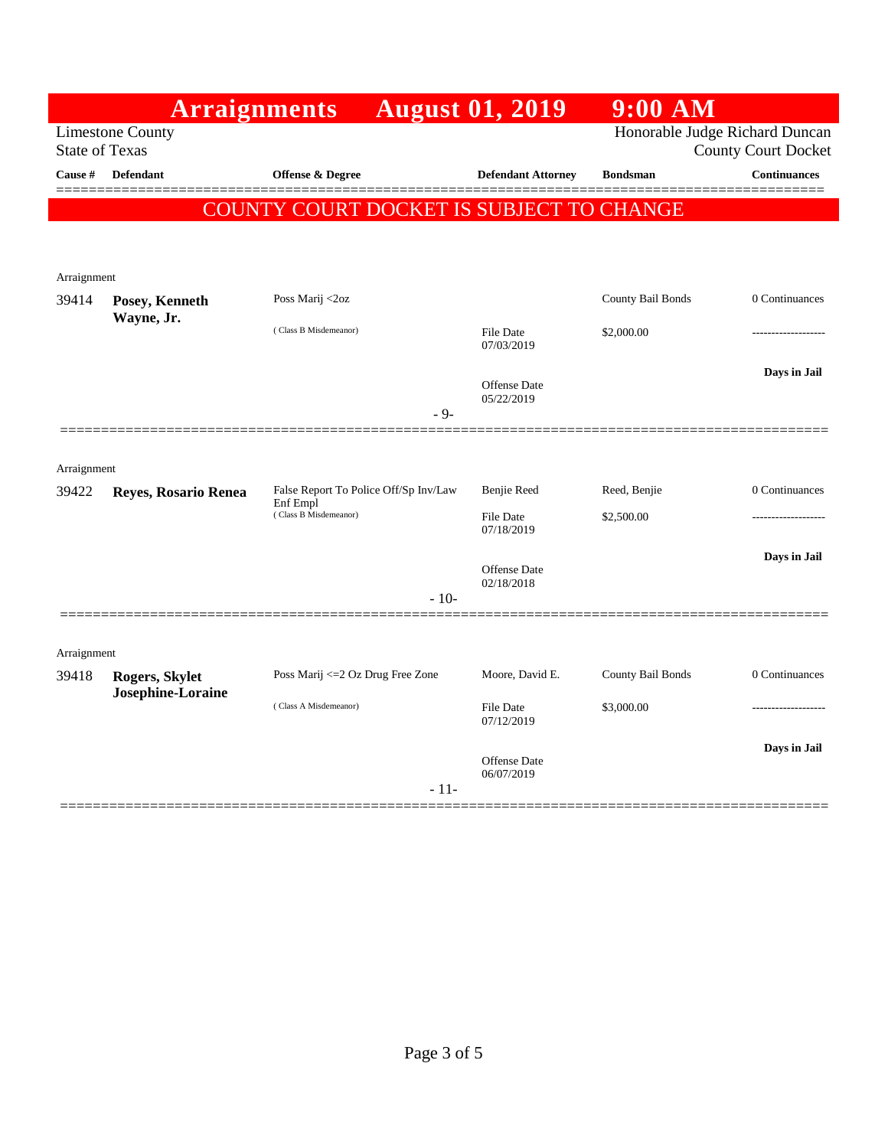|                                                     | <b>Arraignments</b>                 |                                                   |        | <b>August 01, 2019</b>         | $9:00$ AM         |                                |
|-----------------------------------------------------|-------------------------------------|---------------------------------------------------|--------|--------------------------------|-------------------|--------------------------------|
|                                                     | <b>Limestone County</b>             |                                                   |        |                                |                   | Honorable Judge Richard Duncan |
| <b>State of Texas</b><br><b>County Court Docket</b> |                                     |                                                   |        |                                |                   |                                |
| Cause #                                             | <b>Defendant</b>                    | Offense & Degree                                  |        | <b>Defendant Attorney</b>      | <b>Bondsman</b>   | <b>Continuances</b>            |
|                                                     |                                     | COUNTY COURT DOCKET IS SUBJECT TO CHANGE          |        |                                |                   |                                |
|                                                     |                                     |                                                   |        |                                |                   |                                |
| Arraignment                                         |                                     |                                                   |        |                                |                   |                                |
| 39414                                               | Posey, Kenneth                      | Poss Marij <2oz                                   |        |                                | County Bail Bonds | 0 Continuances                 |
|                                                     | Wayne, Jr.                          | (Class B Misdemeanor)                             |        | <b>File Date</b><br>07/03/2019 | \$2,000.00        |                                |
|                                                     |                                     |                                                   |        | <b>Offense Date</b>            |                   | Days in Jail                   |
|                                                     |                                     |                                                   | $-9-$  | 05/22/2019                     |                   |                                |
|                                                     |                                     |                                                   |        |                                |                   |                                |
| Arraignment                                         |                                     |                                                   |        |                                |                   |                                |
| 39422                                               | Reyes, Rosario Renea                | False Report To Police Off/Sp Inv/Law<br>Enf Empl |        | <b>Benjie Reed</b>             | Reed, Benjie      | 0 Continuances                 |
|                                                     |                                     | (Class B Misdemeanor)                             |        | File Date<br>07/18/2019        | \$2,500.00        |                                |
|                                                     |                                     |                                                   |        |                                |                   | Days in Jail                   |
|                                                     |                                     |                                                   |        | Offense Date<br>02/18/2018     |                   |                                |
|                                                     |                                     |                                                   | $-10-$ |                                |                   |                                |
|                                                     |                                     |                                                   |        |                                |                   |                                |
| Arraignment                                         |                                     |                                                   |        |                                |                   |                                |
| 39418                                               | Rogers, Skylet<br>Josephine-Loraine | Poss Marij <= 2 Oz Drug Free Zone                 |        | Moore, David E.                | County Bail Bonds | 0 Continuances                 |
|                                                     |                                     | (Class A Misdemeanor)                             |        | <b>File Date</b><br>07/12/2019 | \$3,000.00        |                                |
|                                                     |                                     |                                                   |        | Offense Date                   |                   | Days in Jail                   |
|                                                     |                                     |                                                   | $-11-$ | 06/07/2019                     |                   |                                |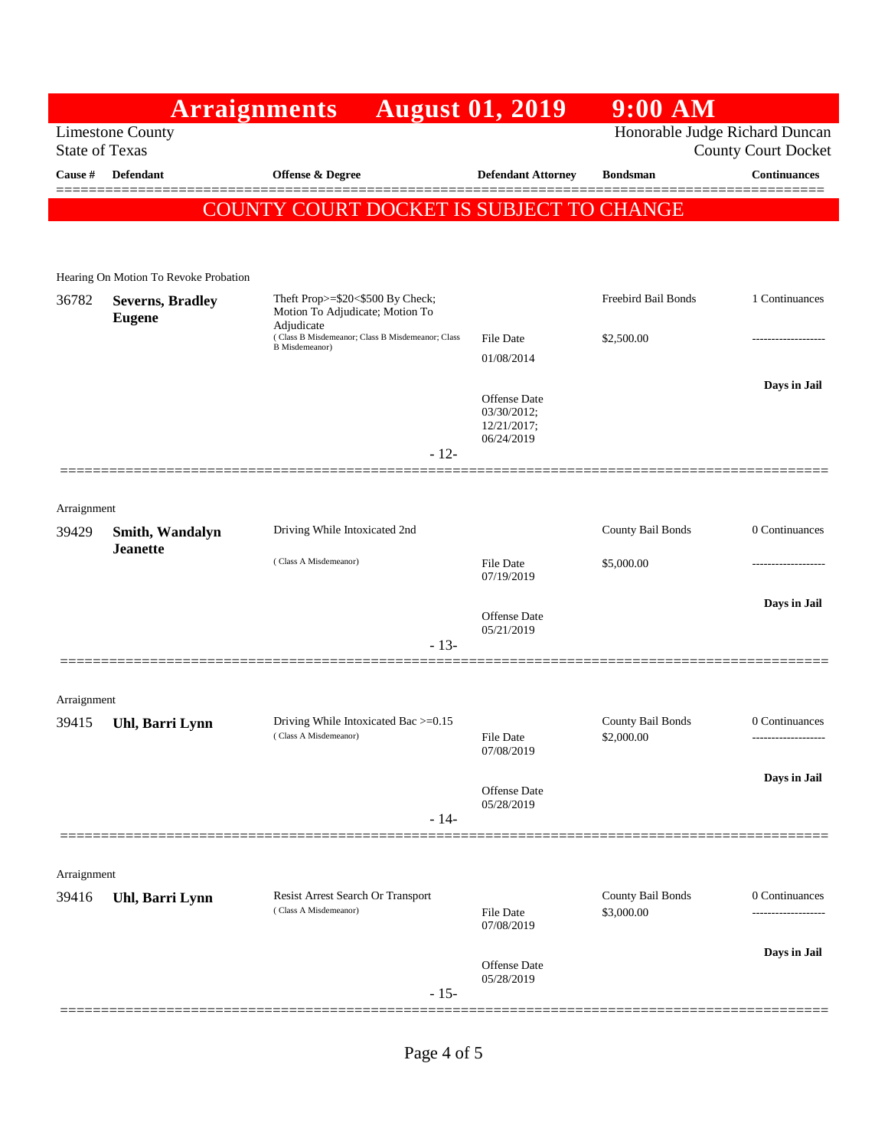|             | <b>Arraignments</b>                                                                                              |                                                                                   | <b>August 01, 2019</b>         | $9:00$ AM                       |                     |  |  |
|-------------|------------------------------------------------------------------------------------------------------------------|-----------------------------------------------------------------------------------|--------------------------------|---------------------------------|---------------------|--|--|
|             | Honorable Judge Richard Duncan<br><b>Limestone County</b><br><b>State of Texas</b><br><b>County Court Docket</b> |                                                                                   |                                |                                 |                     |  |  |
| Cause #     | Defendant                                                                                                        | <b>Offense &amp; Degree</b>                                                       | <b>Defendant Attorney</b>      | <b>Bondsman</b>                 | <b>Continuances</b> |  |  |
|             |                                                                                                                  |                                                                                   |                                |                                 | ======              |  |  |
|             |                                                                                                                  | COUNTY COURT DOCKET IS SUBJECT TO CHANGE                                          |                                |                                 |                     |  |  |
|             |                                                                                                                  |                                                                                   |                                |                                 |                     |  |  |
|             | Hearing On Motion To Revoke Probation                                                                            |                                                                                   |                                |                                 |                     |  |  |
| 36782       | <b>Severns, Bradley</b><br><b>Eugene</b>                                                                         | Theft Prop>=\$20<\$500 By Check;<br>Motion To Adjudicate; Motion To<br>Adjudicate |                                | Freebird Bail Bonds             | 1 Continuances      |  |  |
|             |                                                                                                                  | (Class B Misdemeanor; Class B Misdemeanor; Class<br><b>B</b> Misdemeanor)         | <b>File Date</b>               | \$2,500.00                      | ------------------  |  |  |
|             |                                                                                                                  |                                                                                   | 01/08/2014                     |                                 |                     |  |  |
|             |                                                                                                                  |                                                                                   | Offense Date                   |                                 | Days in Jail        |  |  |
|             |                                                                                                                  |                                                                                   | 03/30/2012;<br>12/21/2017;     |                                 |                     |  |  |
|             |                                                                                                                  | $-12-$                                                                            | 06/24/2019                     |                                 |                     |  |  |
|             |                                                                                                                  |                                                                                   |                                |                                 |                     |  |  |
| Arraignment |                                                                                                                  |                                                                                   |                                |                                 |                     |  |  |
| 39429       | Smith, Wandalyn                                                                                                  | Driving While Intoxicated 2nd                                                     |                                | County Bail Bonds               | 0 Continuances      |  |  |
|             | <b>Jeanette</b>                                                                                                  |                                                                                   |                                | \$5,000.00                      |                     |  |  |
|             |                                                                                                                  | (Class A Misdemeanor)                                                             | File Date<br>07/19/2019        |                                 |                     |  |  |
|             |                                                                                                                  |                                                                                   |                                |                                 | Days in Jail        |  |  |
|             |                                                                                                                  |                                                                                   | Offense Date<br>05/21/2019     |                                 |                     |  |  |
|             |                                                                                                                  | $-13-$                                                                            |                                |                                 |                     |  |  |
|             |                                                                                                                  |                                                                                   |                                |                                 |                     |  |  |
| Arraignment |                                                                                                                  |                                                                                   |                                |                                 |                     |  |  |
| 39415       | Uhl, Barri Lynn                                                                                                  | Driving While Intoxicated Bac >=0.15<br>(Class A Misdemeanor)                     | File Date                      | County Bail Bonds<br>\$2,000.00 | 0 Continuances      |  |  |
|             |                                                                                                                  |                                                                                   | 07/08/2019                     |                                 |                     |  |  |
|             |                                                                                                                  |                                                                                   | Offense Date                   |                                 | Days in Jail        |  |  |
|             |                                                                                                                  | $-14-$                                                                            | 05/28/2019                     |                                 |                     |  |  |
|             |                                                                                                                  |                                                                                   |                                |                                 |                     |  |  |
| Arraignment |                                                                                                                  |                                                                                   |                                |                                 |                     |  |  |
| 39416       | Uhl, Barri Lynn                                                                                                  | Resist Arrest Search Or Transport                                                 |                                | County Bail Bonds               | 0 Continuances      |  |  |
|             |                                                                                                                  | (Class A Misdemeanor)                                                             | <b>File Date</b><br>07/08/2019 | \$3,000.00                      |                     |  |  |
|             |                                                                                                                  |                                                                                   |                                |                                 |                     |  |  |
|             |                                                                                                                  |                                                                                   | <b>Offense Date</b>            |                                 | Days in Jail        |  |  |
|             |                                                                                                                  | $-15-$                                                                            | 05/28/2019                     |                                 |                     |  |  |
|             |                                                                                                                  |                                                                                   |                                |                                 |                     |  |  |